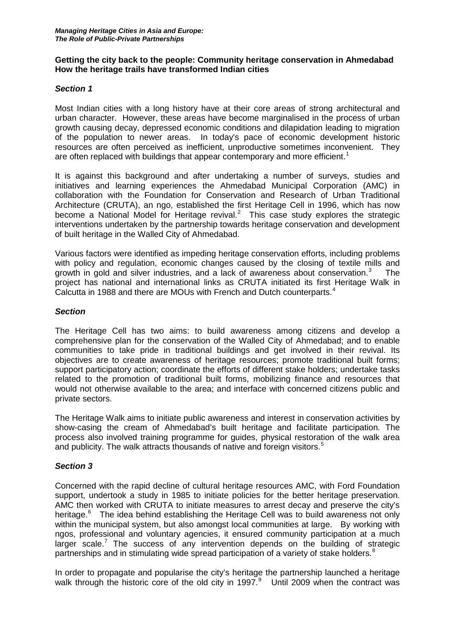### **Getting the city back to the people: Community heritage conservation in Ahmedabad How the heritage trails have transformed Indian cities**

### *Section 1*

Most Indian cities with a long history have at their core areas of strong architectural and urban character. However, these areas have become marginalised in the process of urban growth causing decay, depressed economic conditions and dilapidation leading to migration of the population to newer areas. In today's pace of economic development historic resources are often perceived as inefficient, unproductive sometimes inconvenient. They are often replaced with buildings that appear contemporary and more efficient.<sup>[1](#page-3-0)</sup>

It is against this background and after undertaking a number of surveys, studies and initiatives and learning experiences the Ahmedabad Municipal Corporation (AMC) in collaboration with the Foundation for Conservation and Research of Urban Traditional Architecture (CRUTA), an ngo, established the first Heritage Cell in 1996, which has now become a National Model for Heritage revival. $2$  This case study explores the strategic interventions undertaken by the partnership towards heritage conservation and development of built heritage in the Walled City of Ahmedabad.

Various factors were identified as impeding heritage conservation efforts, including problems with policy and regulation, economic changes caused by the closing of textile mills and growth in gold and silver industries, and a lack of awareness about conservation. $3$  The project has national and international links as CRUTA initiated its first Heritage Walk in Calcutta in 1988 and there are MOUs with French and Dutch counterparts.<sup>[4](#page-3-3)</sup>

### *Section*

The Heritage Cell has two aims: to build awareness among citizens and develop a comprehensive plan for the conservation of the Walled City of Ahmedabad; and to enable communities to take pride in traditional buildings and get involved in their revival. Its objectives are to create awareness of heritage resources; promote traditional built forms; support participatory action; coordinate the efforts of different stake holders; undertake tasks related to the promotion of traditional built forms, mobilizing finance and resources that would not otherwise available to the area; and interface with concerned citizens public and private sectors.

The Heritage Walk aims to initiate public awareness and interest in conservation activities by show-casing the cream of Ahmedabad's built heritage and facilitate participation. The process also involved training programme for guides, physical restoration of the walk area and publicity. The walk attracts thousands of native and foreign visitors.<sup>[5](#page-3-4)</sup>

### *Section 3*

Concerned with the rapid decline of cultural heritage resources AMC, with Ford Foundation support, undertook a study in 1985 to initiate policies for the better heritage preservation. AMC then worked with CRUTA to initiate measures to arrest decay and preserve the city's heritage.<sup>[6](#page-3-5)</sup> The idea behind establishing the Heritage Cell was to build awareness not only within the municipal system, but also amongst local communities at large. By working with ngos, professional and voluntary agencies, it ensured community participation at a much larger scale.<sup>[7](#page-3-6)</sup> The success of any intervention depends on the building of strategic partnerships and in stimulating wide spread participation of a variety of stake holders.<sup>[8](#page-3-7)</sup>

In order to propagate and popularise the city's heritage the partnership launched a heritage walk through the historic core of the old city in 1[9](#page-3-8)97. $9$  Until 2009 when the contract was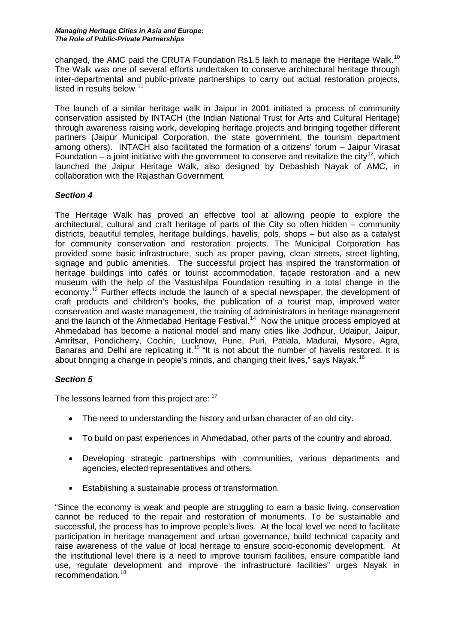changed, the AMC paid the CRUTA Foundation Rs1.5 lakh to manage the Heritage Walk.<sup>[10](#page-3-9)</sup> The Walk was one of several efforts undertaken to conserve architectural heritage through inter-departmental and public-private partnerships to carry out actual restoration projects, listed in results below.<sup>[11](#page-3-10)</sup>

The launch of a similar heritage walk in Jaipur in 2001 initiated a process of community conservation assisted by INTACH (the Indian National Trust for Arts and Cultural Heritage) through awareness raising work, developing heritage projects and bringing together different partners (Jaipur Municipal Corporation, the state government, the tourism department among others). INTACH also facilitated the formation of a citizens' forum – Jaipur Virasat Foundation – a joint initiative with the government to conserve and revitalize the city<sup>12</sup>, which launched the Jaipur Heritage Walk, also designed by Debashish Nayak of AMC, in collaboration with the Rajasthan Government.

# *Section 4*

The Heritage Walk has proved an effective tool at allowing people to explore the architectural, cultural and craft heritage of parts of the City so often hidden – community districts, beautiful temples, heritage buildings, havelis, pols, shops – but also as a catalyst for community conservation and restoration projects. The Municipal Corporation has provided some basic infrastructure, such as proper paving, clean streets, street lighting, signage and public amenities. The successful project has inspired the transformation of heritage buildings into cafés or tourist accommodation, façade restoration and a new museum with the help of the Vastushilpa Foundation resulting in a total change in the economy.[13](#page-3-12) Further effects include the launch of a special newspaper, the development of craft products and children's books, the publication of a tourist map, improved water conservation and waste management, the training of administrators in heritage management and the launch of the Ahmedabad Heritage Festival.<sup>[14](#page-3-13)</sup> Now the unique process employed at Ahmedabad has become a national model and many cities like Jodhpur, Udaipur, Jaipur, Amritsar, Pondicherry, Cochin, Lucknow, Pune, Puri, Patiala, Madurai, Mysore, Agra, Banaras and Delhi are replicating it.<sup>[15](#page-3-14)</sup> "It is not about the number of havelis restored. It is about bringing a change in people's minds, and changing their lives," says Nayak.<sup>[16](#page-3-15)</sup>

# *Section 5*

The lessons learned from this project are: [17](#page-3-16)

- The need to understanding the history and urban character of an old city.
- To build on past experiences in Ahmedabad, other parts of the country and abroad.
- Developing strategic partnerships with communities, various departments and agencies, elected representatives and others.
- Establishing a sustainable process of transformation.

"Since the economy is weak and people are struggling to earn a basic living, conservation cannot be reduced to the repair and restoration of monuments. To be sustainable and successful, the process has to improve people's lives. At the local level we need to facilitate participation in heritage management and urban governance, build technical capacity and raise awareness of the value of local heritage to ensure socio-economic development. At the institutional level there is a need to improve tourism facilities, ensure compatible land use, regulate development and improve the infrastructure facilities" urges Nayak in recommendation. [18](#page-3-17)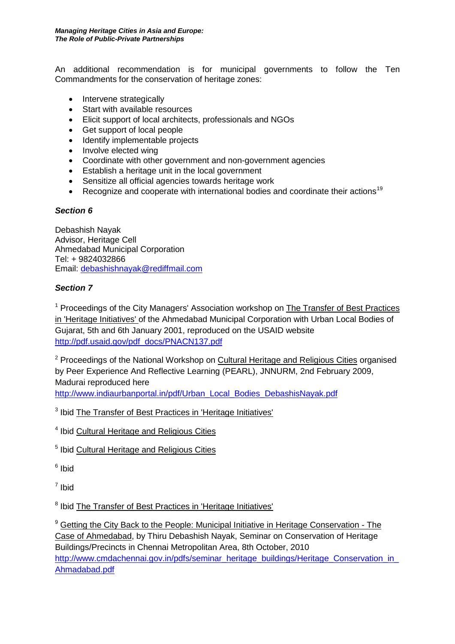An additional recommendation is for municipal governments to follow the Ten Commandments for the conservation of heritage zones:

- Intervene strategically
- Start with available resources
- Elicit support of local architects, professionals and NGOs
- Get support of local people
- Identify implementable projects
- Involve elected wing
- Coordinate with other government and non-government agencies
- Establish a heritage unit in the local government
- Sensitize all official agencies towards heritage work
- Recognize and cooperate with international bodies and coordinate their actions<sup>[19](#page-3-18)</sup>

### *Section 6*

Debashish Nayak Advisor, Heritage Cell Ahmedabad Municipal Corporation Tel: + 9824032866 Email: [debashishnayak@rediffmail.com](mailto:debashishnayak@rediffmail.com)

# *Section 7*

<sup>1</sup> Proceedings of the City Managers' Association workshop on The Transfer of Best Practices in 'Heritage Initiatives' of the Ahmedabad Municipal Corporation with Urban Local Bodies of Gujarat, 5th and 6th January 2001, reproduced on the USAID website [http://pdf.usaid.gov/pdf\\_docs/PNACN137.pdf](http://pdf.usaid.gov/pdf_docs/PNACN137.pdf)

<sup>2</sup> Proceedings of the National Workshop on Cultural Heritage and Religious Cities organised by Peer Experience And Reflective Learning (PEARL), JNNURM, 2nd February 2009, Madurai reproduced here [http://www.indiaurbanportal.in/pdf/Urban\\_Local\\_Bodies\\_DebashisNayak.pdf](http://www.indiaurbanportal.in/pdf/Urban_Local_Bodies_DebashisNayak.pdf)

<sup>3</sup> Ibid The Transfer of Best Practices in 'Heritage Initiatives'

<sup>4</sup> Ibid Cultural Heritage and Religious Cities

<sup>5</sup> Ibid Cultural Heritage and Religious Cities

<sup>6</sup> Ibid

<sup>7</sup> Ibid

<sup>8</sup> Ibid The Transfer of Best Practices in 'Heritage Initiatives'

<sup>9</sup> Getting the City Back to the People: Municipal Initiative in Heritage Conservation - The Case of Ahmedabad, by Thiru Debashish Nayak, Seminar on Conservation of Heritage Buildings/Precincts in Chennai Metropolitan Area, 8th October, 2010 http://www.cmdachennai.gov.in/pdfs/seminar\_heritage\_buildings/Heritage\_Conservation\_in [Ahmadabad.pdf](http://www.cmdachennai.gov.in/pdfs/seminar_heritage_buildings/Heritage_Conservation_in_Ahmadabad.pdf)